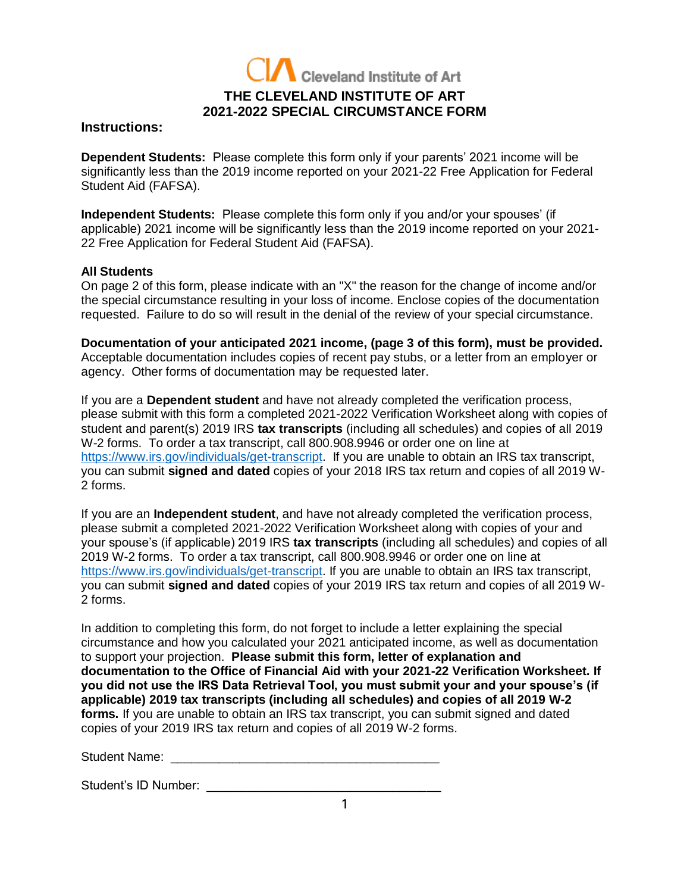

### **Instructions:**

**Dependent Students:** Please complete this form only if your parents' 2021 income will be significantly less than the 2019 income reported on your 2021-22 Free Application for Federal Student Aid (FAFSA).

**Independent Students:** Please complete this form only if you and/or your spouses' (if applicable) 2021 income will be significantly less than the 2019 income reported on your 2021- 22 Free Application for Federal Student Aid (FAFSA).

# **All Students**

On page 2 of this form, please indicate with an "X" the reason for the change of income and/or the special circumstance resulting in your loss of income. Enclose copies of the documentation requested. Failure to do so will result in the denial of the review of your special circumstance.

**Documentation of your anticipated 2021 income, (page 3 of this form), must be provided.** Acceptable documentation includes copies of recent pay stubs, or a letter from an employer or agency. Other forms of documentation may be requested later.

If you are a **Dependent student** and have not already completed the verification process, please submit with this form a completed 2021-2022 Verification Worksheet along with copies of student and parent(s) 2019 IRS **tax transcripts** (including all schedules) and copies of all 2019 W-2 forms. To order a tax transcript, call 800.908.9946 or order one on line at [https://www.irs.gov/individuals/get-transcript.](https://www.irs.gov/individuals/get-transcript) If you are unable to obtain an IRS tax transcript, you can submit **signed and dated** copies of your 2018 IRS tax return and copies of all 2019 W-2 forms.

If you are an **Independent student**, and have not already completed the verification process, please submit a completed 2021-2022 Verification Worksheet along with copies of your and your spouse's (if applicable) 2019 IRS **tax transcripts** (including all schedules) and copies of all 2019 W-2 forms. To order a tax transcript, call 800.908.9946 or order one on line at [https://www.irs.gov/individuals/get-transcript.](https://www.irs.gov/individuals/get-transcript) If you are unable to obtain an IRS tax transcript, you can submit **signed and dated** copies of your 2019 IRS tax return and copies of all 2019 W-2 forms.

In addition to completing this form, do not forget to include a letter explaining the special circumstance and how you calculated your 2021 anticipated income, as well as documentation to support your projection. **Please submit this form, letter of explanation and documentation to the Office of Financial Aid with your 2021-22 Verification Worksheet. If you did not use the IRS Data Retrieval Tool, you must submit your and your spouse's (if applicable) 2019 tax transcripts (including all schedules) and copies of all 2019 W-2 forms.** If you are unable to obtain an IRS tax transcript, you can submit signed and dated copies of your 2019 IRS tax return and copies of all 2019 W-2 forms.

Student Name: **Example 2018** 

Student's ID Number: \_\_\_\_\_\_\_\_\_\_\_\_\_\_\_\_\_\_\_\_\_\_\_\_\_\_\_\_\_\_\_\_\_\_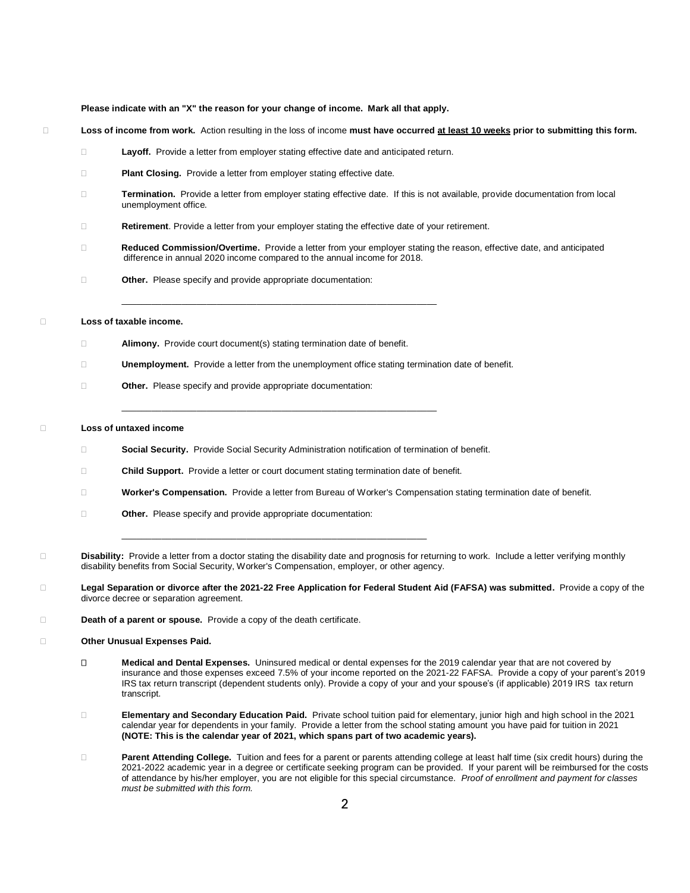#### **Please indicate with an "X" the reason for your change of income. Mark all that apply.**

- **Loss of income from work.** Action resulting in the loss of income **must have occurred at least 10 weeks prior to submitting this form.**
	- **Layoff.** Provide a letter from employer stating effective date and anticipated return.
	- **Plant Closing.** Provide a letter from employer stating effective date.
	- **Termination.** Provide a letter from employer stating effective date. If this is not available, provide documentation from local unemployment office.
	- **Retirement**. Provide a letter from your employer stating the effective date of your retirement.

\_\_\_\_\_\_\_\_\_\_\_\_\_\_\_\_\_\_\_\_\_\_\_\_\_\_\_\_\_\_\_\_\_\_\_\_\_\_\_\_\_\_\_\_\_\_\_\_\_\_\_\_\_\_\_\_\_\_\_\_\_\_\_

- **Reduced Commission/Overtime.** Provide a letter from your employer stating the reason, effective date, and anticipated difference in annual 2020 income compared to the annual income for 2018.
- **Other.** Please specify and provide appropriate documentation:

**Loss of taxable income.**

- **Alimony.** Provide court document(s) stating termination date of benefit.
- **Unemployment.** Provide a letter from the unemployment office stating termination date of benefit.
- **Other.** Please specify and provide appropriate documentation:

#### **Loss of untaxed income**

**Social Security.** Provide Social Security Administration notification of termination of benefit.

\_\_\_\_\_\_\_\_\_\_\_\_\_\_\_\_\_\_\_\_\_\_\_\_\_\_\_\_\_\_\_\_\_\_\_\_\_\_\_\_\_\_\_\_\_\_\_\_\_\_\_\_\_\_\_\_\_\_\_\_\_\_\_

**Child Support.** Provide a letter or court document stating termination date of benefit.

\_\_\_\_\_\_\_\_\_\_\_\_\_\_\_\_\_\_\_\_\_\_\_\_\_\_\_\_\_\_\_\_\_\_\_\_\_\_\_\_\_\_\_\_\_\_\_\_\_\_\_\_\_\_\_\_\_\_\_\_\_

- **Worker's Compensation.** Provide a letter from Bureau of Worker's Compensation stating termination date of benefit.
- **Other.** Please specify and provide appropriate documentation:
- **Disability:** Provide a letter from a doctor stating the disability date and prognosis for returning to work. Include a letter verifying monthly disability benefits from Social Security, Worker's Compensation, employer, or other agency.

 **Legal Separation or divorce after the 2021-22 Free Application for Federal Student Aid (FAFSA) was submitted.** Provide a copy of the divorce decree or separation agreement.

**Death of a parent or spouse.** Provide a copy of the death certificate.

#### **Other Unusual Expenses Paid.**

- **Medical and Dental Expenses.** Uninsured medical or dental expenses for the 2019 calendar year that are not covered by insurance and those expenses exceed 7.5% of your income reported on the 2021-22 FAFSA. Provide a copy of your parent's 2019 IRS tax return transcript (dependent students only). Provide a copy of your and your spouse's (if applicable) 2019 IRS tax return transcript.
- **Elementary and Secondary Education Paid.** Private school tuition paid for elementary, junior high and high school in the 2021 calendar year for dependents in your family. Provide a letter from the school stating amount you have paid for tuition in 2021 **(NOTE: This is the calendar year of 2021, which spans part of two academic years).**
- **Parent Attending College.** Tuition and fees for a parent or parents attending college at least half time (six credit hours) during the 2021-2022 academic year in a degree or certificate seeking program can be provided. If your parent will be reimbursed for the costs of attendance by his/her employer, you are not eligible for this special circumstance. *Proof of enrollment and payment for classes must be submitted with this form.*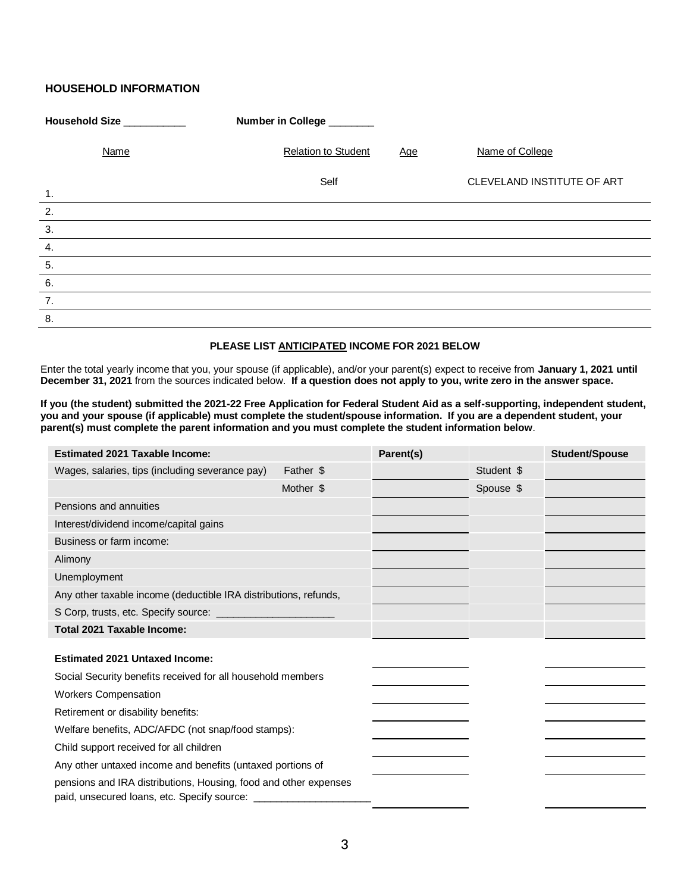# **HOUSEHOLD INFORMATION**

| Household Size ___________ | Number in College _______                |                            |
|----------------------------|------------------------------------------|----------------------------|
| Name                       | <b>Relation to Student</b><br><b>Age</b> | Name of College            |
| 1.                         | Self                                     | CLEVELAND INSTITUTE OF ART |
| 2.                         |                                          |                            |
| 3.                         |                                          |                            |
| 4.                         |                                          |                            |
| 5.                         |                                          |                            |
| 6.                         |                                          |                            |
| 7.                         |                                          |                            |
| $\overline{8}$ .           |                                          |                            |

### **PLEASE LIST ANTICIPATED INCOME FOR 2021 BELOW**

Enter the total yearly income that you, your spouse (if applicable), and/or your parent(s) expect to receive from **January 1, 2021 until December 31, 2021** from the sources indicated below. **If a question does not apply to you, write zero in the answer space.**

**If you (the student) submitted the 2021-22 Free Application for Federal Student Aid as a self-supporting, independent student, you and your spouse (if applicable) must complete the student/spouse information. If you are a dependent student, your parent(s) must complete the parent information and you must complete the student information below**.

| <b>Estimated 2021 Taxable Income:</b>                            |           | Parent(s) |            | Student/Spouse |
|------------------------------------------------------------------|-----------|-----------|------------|----------------|
| Wages, salaries, tips (including severance pay)                  | Father \$ |           | Student \$ |                |
|                                                                  | Mother \$ |           | Spouse \$  |                |
| Pensions and annuities                                           |           |           |            |                |
| Interest/dividend income/capital gains                           |           |           |            |                |
| Business or farm income:                                         |           |           |            |                |
| Alimony                                                          |           |           |            |                |
| Unemployment                                                     |           |           |            |                |
| Any other taxable income (deductible IRA distributions, refunds, |           |           |            |                |
|                                                                  |           |           |            |                |
| Total 2021 Taxable Income:                                       |           |           |            |                |
| <b>Estimated 2021 Untaxed Income:</b>                            |           |           |            |                |
| Social Security benefits received for all household members      |           |           |            |                |
| <b>Workers Compensation</b>                                      |           |           |            |                |
| Retirement or disability benefits:                               |           |           |            |                |
| Welfare benefits, ADC/AFDC (not snap/food stamps):               |           |           |            |                |
| Child support received for all children                          |           |           |            |                |
| Any other untaxed income and benefits (untaxed portions of       |           |           |            |                |
| pensions and IRA distributions, Housing, food and other expenses |           |           |            |                |
|                                                                  |           |           |            |                |